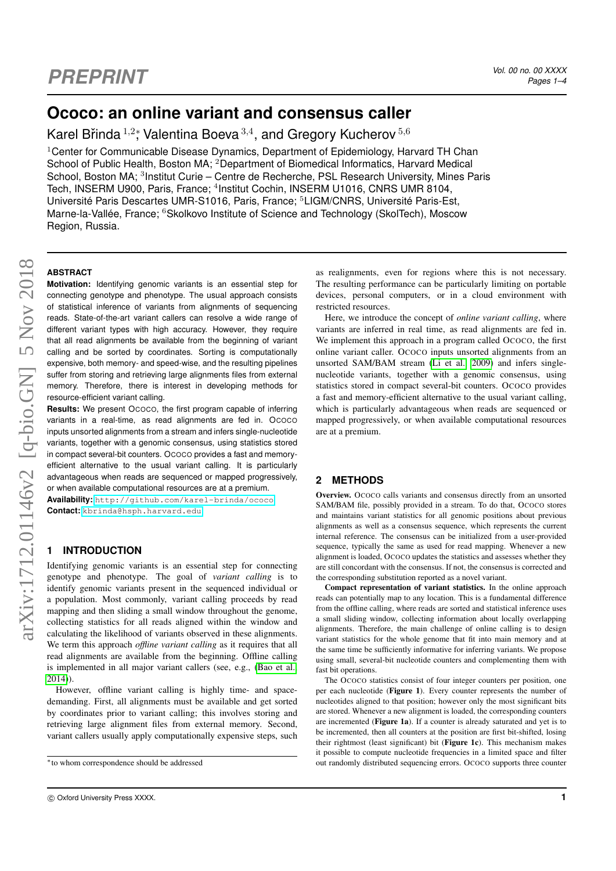# **Ococo: an online variant and consensus caller**

Karel Břinda  $^{1,2}$ \*, Valentina Boeva $^{3,4}$ , and Gregory Kucherov  $^{5,6}$ 

<sup>1</sup>Center for Communicable Disease Dynamics, Department of Epidemiology, Harvard TH Chan School of Public Health, Boston MA; <sup>2</sup>Department of Biomedical Informatics, Harvard Medical School, Boston MA; <sup>3</sup>Institut Curie – Centre de Recherche, PSL Research University, Mines Paris Tech, INSERM U900, Paris, France; <sup>4</sup>Institut Cochin, INSERM U1016, CNRS UMR 8104, Université Paris Descartes UMR-S1016, Paris, France; <sup>5</sup>LIGM/CNRS, Université Paris-Est, Marne-la-Vallée, France; <sup>6</sup>Skolkovo Institute of Science and Technology (SkolTech), Moscow Region, Russia.

### **ABSTRACT**

**Motivation:** Identifying genomic variants is an essential step for connecting genotype and phenotype. The usual approach consists of statistical inference of variants from alignments of sequencing reads. State-of-the-art variant callers can resolve a wide range of different variant types with high accuracy. However, they require that all read alignments be available from the beginning of variant calling and be sorted by coordinates. Sorting is computationally expensive, both memory- and speed-wise, and the resulting pipelines suffer from storing and retrieving large alignments files from external memory. Therefore, there is interest in developing methods for resource-efficient variant calling.

**Results:** We present OCOCO, the first program capable of inferring variants in a real-time, as read alignments are fed in. OCOCO inputs unsorted alignments from a stream and infers single-nucleotide variants, together with a genomic consensus, using statistics stored in compact several-bit counters. OCOCO provides a fast and memoryefficient alternative to the usual variant calling. It is particularly advantageous when reads are sequenced or mapped progressively, or when available computational resources are at a premium.

**Availability:** <http://github.com/karel-brinda/ococo> **Contact:** <kbrinda@hsph.harvard.edu>

# **INTRODUCTION**

Identifying genomic variants is an essential step for connecting genotype and phenotype. The goal of *variant calling* is to identify genomic variants present in the sequenced individual or a population. Most commonly, variant calling proceeds by read mapping and then sliding a small window throughout the genome, collecting statistics for all reads aligned within the window and calculating the likelihood of variants observed in these alignments. We term this approach *offline variant calling* as it requires that all read alignments are available from the beginning. Offline calling is implemented in all major variant callers (see, e.g., [\(Bao et al.,](#page-2-0) [2014\)](#page-2-0)).

However, offline variant calling is highly time- and spacedemanding. First, all alignments must be available and get sorted by coordinates prior to variant calling; this involves storing and retrieving large alignment files from external memory. Second, variant callers usually apply computationally expensive steps, such as realignments, even for regions where this is not necessary. The resulting performance can be particularly limiting on portable devices, personal computers, or in a cloud environment with restricted resources.

Here, we introduce the concept of *online variant calling*, where variants are inferred in real time, as read alignments are fed in. We implement this approach in a program called OCOCO, the first online variant caller. OCOCO inputs unsorted alignments from an unsorted SAM/BAM stream [\(Li et al., 2009\)](#page-2-1) and infers singlenucleotide variants, together with a genomic consensus, using statistics stored in compact several-bit counters. OCOCO provides a fast and memory-efficient alternative to the usual variant calling, which is particularly advantageous when reads are sequenced or mapped progressively, or when available computational resources are at a premium.

# **2 METHODS**

Overview. OCOCO calls variants and consensus directly from an unsorted SAM/BAM file, possibly provided in a stream. To do that, OCOCO stores and maintains variant statistics for all genomic positions about previous alignments as well as a consensus sequence, which represents the current internal reference. The consensus can be initialized from a user-provided sequence, typically the same as used for read mapping. Whenever a new alignment is loaded, OCOCO updates the statistics and assesses whether they are still concordant with the consensus. If not, the consensus is corrected and the corresponding substitution reported as a novel variant.

Compact representation of variant statistics. In the online approach reads can potentially map to any location. This is a fundamental difference from the offline calling, where reads are sorted and statistical inference uses a small sliding window, collecting information about locally overlapping alignments. Therefore, the main challenge of online calling is to design variant statistics for the whole genome that fit into main memory and at the same time be sufficiently informative for inferring variants. We propose using small, several-bit nucleotide counters and complementing them with fast bit operations.

The OCOCO statistics consist of four integer counters per position, one per each nucleotide (Figure 1). Every counter represents the number of nucleotides aligned to that position; however only the most significant bits are stored. Whenever a new alignment is loaded, the corresponding counters are incremented (Figure 1a). If a counter is already saturated and yet is to be incremented, then all counters at the position are first bit-shifted, losing their rightmost (least significant) bit (Figure 1c). This mechanism makes it possible to compute nucleotide frequencies in a limited space and filter out randomly distributed sequencing errors. OCOCO supports three counter

<sup>∗</sup>to whom correspondence should be addressed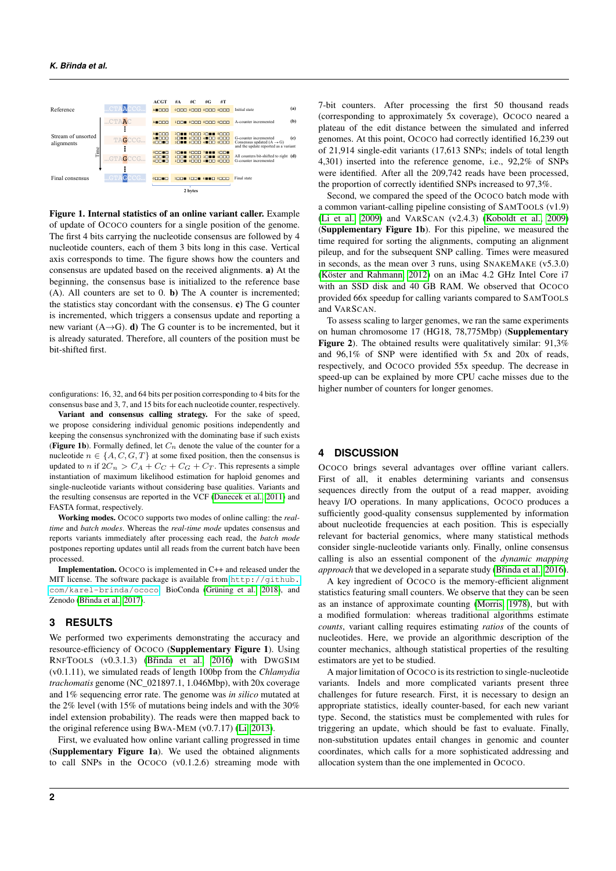

Figure 1. Internal statistics of an online variant caller. Example of update of OCOCO counters for a single position of the genome. The first 4 bits carrying the nucleotide consensus are followed by 4 nucleotide counters, each of them 3 bits long in this case. Vertical axis corresponds to time. The figure shows how the counters and consensus are updated based on the received alignments. a) At the beginning, the consensus base is initialized to the reference base (A). All counters are set to 0. b) The A counter is incremented; the statistics stay concordant with the consensus. c) The G counter is incremented, which triggers a consensus update and reporting a new variant  $(A \rightarrow G)$ . d) The G counter is to be incremented, but it is already saturated. Therefore, all counters of the position must be bit-shifted first.

configurations: 16, 32, and 64 bits per position corresponding to 4 bits for the consensus base and 3, 7, and 15 bits for each nucleotide counter, respectively.

Variant and consensus calling strategy. For the sake of speed, we propose considering individual genomic positions independently and keeping the consensus synchronized with the dominating base if such exists (Figure 1b). Formally defined, let  $C_n$  denote the value of the counter for a nucleotide  $n \in \{A, C, G, T\}$  at some fixed position, then the consensus is updated to n if  $2C_n > C_A + C_C + C_G + C_T$ . This represents a simple instantiation of maximum likelihood estimation for haploid genomes and single-nucleotide variants without considering base qualities. Variants and the resulting consensus are reported in the VCF [\(Danecek et al., 2011\)](#page-2-2) and FASTA format, respectively.

Working modes. OCOCO supports two modes of online calling: the *realtime* and *batch modes*. Whereas the *real-time mode* updates consensus and reports variants immediately after processing each read, the *batch mode* postpones reporting updates until all reads from the current batch have been processed.

Implementation. OCOCO is implemented in C++ and released under the MIT license. The software package is available from [http://github.](http://github.com/karel-brinda/ococo) [com/karel-brinda/ococo](http://github.com/karel-brinda/ococo), BioConda [\(Grüning et al., 2018\)](#page-2-3), and Zenodo (Břinda et al., 2017).

## **3 RESULTS**

We performed two experiments demonstrating the accuracy and resource-efficiency of OCOCO (Supplementary Figure 1). Using RNFTOOLS (v0.3.1.3) (Břinda et al., 2016) with DWGSIM (v0.1.11), we simulated reads of length 100bp from the *Chlamydia trachomatis* genome (NC\_021897.1, 1.046Mbp), with 20x coverage and 1% sequencing error rate. The genome was *in silico* mutated at the 2% level (with 15% of mutations being indels and with the 30% indel extension probability). The reads were then mapped back to the original reference using BWA-MEM (v0.7.17) [\(Li, 2013\)](#page-2-6).

First, we evaluated how online variant calling progressed in time (Supplementary Figure 1a). We used the obtained alignments to call SNPs in the OCOCO (v0.1.2.6) streaming mode with 7-bit counters. After processing the first 50 thousand reads (corresponding to approximately 5x coverage), OCOCO neared a plateau of the edit distance between the simulated and inferred genomes. At this point, OCOCO had correctly identified 16,239 out of 21,914 single-edit variants (17,613 SNPs; indels of total length 4,301) inserted into the reference genome, i.e., 92,2% of SNPs were identified. After all the 209,742 reads have been processed, the proportion of correctly identified SNPs increased to 97,3%.

Second, we compared the speed of the OCOCO batch mode with a common variant-calling pipeline consisting of SAMTOOLS (v1.9) [\(Li et al., 2009\)](#page-2-1) and VARSCAN (v2.4.3) [\(Koboldt et al., 2009\)](#page-2-7) (Supplementary Figure 1b). For this pipeline, we measured the time required for sorting the alignments, computing an alignment pileup, and for the subsequent SNP calling. Times were measured in seconds, as the mean over 3 runs, using SNAKEMAKE (v5.3.0) [\(Köster and Rahmann, 2012\)](#page-2-8) on an iMac 4.2 GHz Intel Core i7 with an SSD disk and 40 GB RAM. We observed that OCOCO provided 66x speedup for calling variants compared to SAMTOOLS and VARSCAN.

To assess scaling to larger genomes, we ran the same experiments on human chromosome 17 (HG18, 78,775Mbp) (Supplementary Figure 2). The obtained results were qualitatively similar: 91,3% and 96,1% of SNP were identified with 5x and 20x of reads, respectively, and OCOCO provided 55x speedup. The decrease in speed-up can be explained by more CPU cache misses due to the higher number of counters for longer genomes.

### **4 DISCUSSION**

OCOCO brings several advantages over offline variant callers. First of all, it enables determining variants and consensus sequences directly from the output of a read mapper, avoiding heavy I/O operations. In many applications, OCOCO produces a sufficiently good-quality consensus supplemented by information about nucleotide frequencies at each position. This is especially relevant for bacterial genomics, where many statistical methods consider single-nucleotide variants only. Finally, online consensus calling is also an essential component of the *dynamic mapping approach* that we developed in a separate study [\(Bˇrinda et al., 2016\)](#page-2-9).

A key ingredient of OCOCO is the memory-efficient alignment statistics featuring small counters. We observe that they can be seen as an instance of approximate counting [\(Morris, 1978\)](#page-2-10), but with a modified formulation: whereas traditional algorithms estimate *counts*, variant calling requires estimating *ratios* of the counts of nucleotides. Here, we provide an algorithmic description of the counter mechanics, although statistical properties of the resulting estimators are yet to be studied.

A major limitation of OCOCO is its restriction to single-nucleotide variants. Indels and more complicated variants present three challenges for future research. First, it is necessary to design an appropriate statistics, ideally counter-based, for each new variant type. Second, the statistics must be complemented with rules for triggering an update, which should be fast to evaluate. Finally, non-substitution updates entail changes in genomic and counter coordinates, which calls for a more sophisticated addressing and allocation system than the one implemented in OCOCO.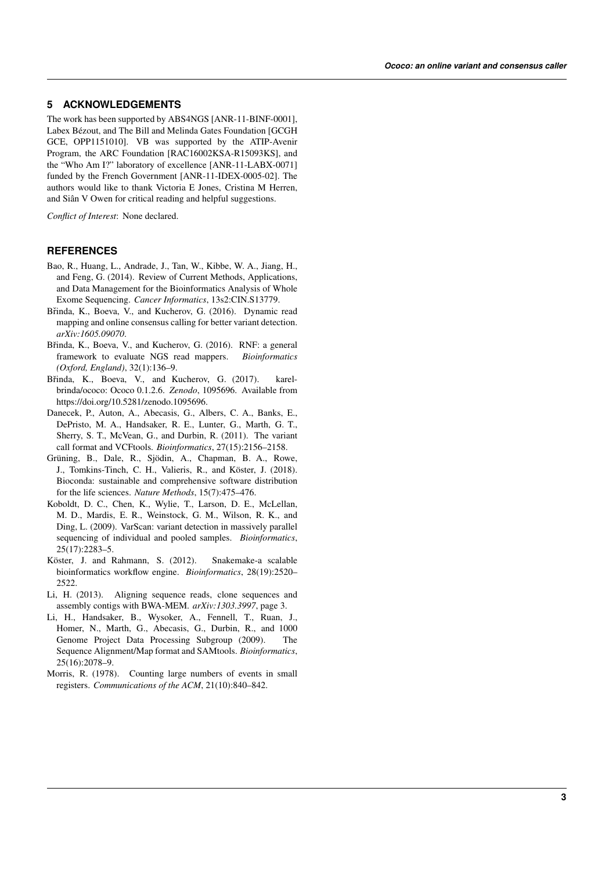## **5 ACKNOWLEDGEMENTS**

The work has been supported by ABS4NGS [ANR-11-BINF-0001], Labex Bézout, and The Bill and Melinda Gates Foundation [GCGH GCE, OPP1151010]. VB was supported by the ATIP-Avenir Program, the ARC Foundation [RAC16002KSA-R15093KS], and the "Who Am I?" laboratory of excellence [ANR-11-LABX-0071] funded by the French Government [ANR-11-IDEX-0005-02]. The authors would like to thank Victoria E Jones, Cristina M Herren, and Siân V Owen for critical reading and helpful suggestions.

*Conflict of Interest*: None declared.

### **REFERENCES**

- <span id="page-2-0"></span>Bao, R., Huang, L., Andrade, J., Tan, W., Kibbe, W. A., Jiang, H., and Feng, G. (2014). Review of Current Methods, Applications, and Data Management for the Bioinformatics Analysis of Whole Exome Sequencing. *Cancer Informatics*, 13s2:CIN.S13779.
- <span id="page-2-9"></span>Břinda, K., Boeva, V., and Kucherov, G. (2016). Dynamic read mapping and online consensus calling for better variant detection. *arXiv:1605.09070*.
- <span id="page-2-5"></span>Břinda, K., Boeva, V., and Kucherov, G. (2016). RNF: a general framework to evaluate NGS read mappers. *Bioinformatics (Oxford, England)*, 32(1):136–9.
- <span id="page-2-4"></span>Břinda, K., Boeva, V., and Kucherov, G. (2017). karelbrinda/ococo: Ococo 0.1.2.6. *Zenodo*, 1095696. Available from https://doi.org/10.5281/zenodo.1095696.
- <span id="page-2-2"></span>Danecek, P., Auton, A., Abecasis, G., Albers, C. A., Banks, E., DePristo, M. A., Handsaker, R. E., Lunter, G., Marth, G. T., Sherry, S. T., McVean, G., and Durbin, R. (2011). The variant call format and VCFtools. *Bioinformatics*, 27(15):2156–2158.
- <span id="page-2-3"></span>Grüning, B., Dale, R., Sjödin, A., Chapman, B. A., Rowe, J., Tomkins-Tinch, C. H., Valieris, R., and Köster, J. (2018). Bioconda: sustainable and comprehensive software distribution for the life sciences. *Nature Methods*, 15(7):475–476.
- <span id="page-2-7"></span>Koboldt, D. C., Chen, K., Wylie, T., Larson, D. E., McLellan, M. D., Mardis, E. R., Weinstock, G. M., Wilson, R. K., and Ding, L. (2009). VarScan: variant detection in massively parallel sequencing of individual and pooled samples. *Bioinformatics*, 25(17):2283–5.
- <span id="page-2-8"></span>Köster, J. and Rahmann, S. (2012). Snakemake-a scalable bioinformatics workflow engine. *Bioinformatics*, 28(19):2520– 2522.
- <span id="page-2-6"></span>Li, H. (2013). Aligning sequence reads, clone sequences and assembly contigs with BWA-MEM. *arXiv:1303.3997*, page 3.
- <span id="page-2-1"></span>Li, H., Handsaker, B., Wysoker, A., Fennell, T., Ruan, J., Homer, N., Marth, G., Abecasis, G., Durbin, R., and 1000 Genome Project Data Processing Subgroup (2009). The Sequence Alignment/Map format and SAMtools. *Bioinformatics*, 25(16):2078–9.
- <span id="page-2-10"></span>Morris, R. (1978). Counting large numbers of events in small registers. *Communications of the ACM*, 21(10):840–842.